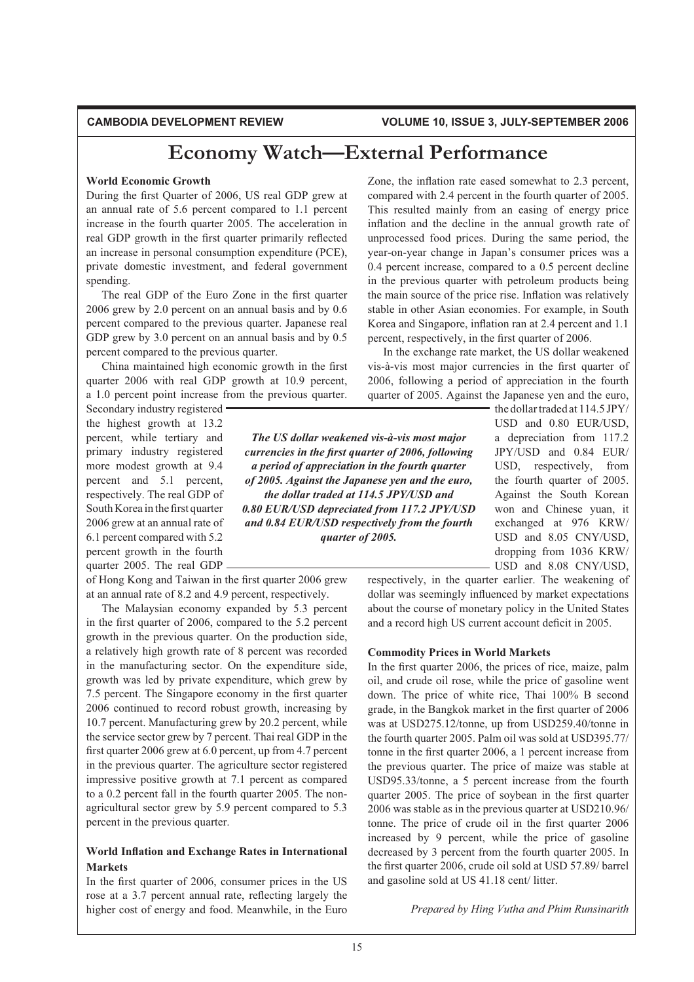# **Economy Watch—External Performance**

### **World Economic Growth**

During the first Quarter of 2006, US real GDP grew at an annual rate of  $5.6$  percent compared to 1.1 percent increase in the fourth quarter 2005. The acceleration in real GDP growth in the first quarter primarily reflected an increase in personal consumption expenditure (PCE), private domestic investment, and federal government spending.

The real GDP of the Euro Zone in the first quarter 2006 grew by 2.0 percent on an annual basis and by  $0.6$ percent compared to the previous quarter. Japanese real GDP grew by 3.0 percent on an annual basis and by  $0.5$ percent compared to the previous quarter.

China maintained high economic growth in the first quarter 2006 with real GDP growth at 10.9 percent, a 1.0 percent point increase from the previous quarter.

Secondary industry registered the highest growth at 13.2 percent, while tertiary and primary industry registered more modest growth at 9.4 percent and 5.1 percent, respectively. The real GDP of South Korea in the first quarter 2006 grew at an annual rate of 6.1 percent compared with 5.2 percent growth in the fourth quarter 2005. The real GDP

of Hong Kong and Taiwan in the first quarter 2006 grew at an annual rate of  $8.2$  and  $4.9$  percent, respectively.

The Malaysian economy expanded by 5.3 percent in the first quarter of 2006, compared to the  $5.2$  percent growth in the previous quarter. On the production side, a relatively high growth rate of 8 percent was recorded in the manufacturing sector. On the expenditure side, growth was led by private expenditure, which grew by 7.5 percent. The Singapore economy in the first quarter 2006 continued to record robust growth, increasing by 10.7 percent. Manufacturing grew by  $20.2$  percent, while the service sector grew by 7 percent. Thai real GDP in the first quarter 2006 grew at  $6.0$  percent, up from 4.7 percent in the previous quarter. The agriculture sector registered impressive positive growth at 7.1 percent as compared to a 0.2 percent fall in the fourth quarter 2005. The nonagricultural sector grew by 5.9 percent compared to 5.3 percent in the previous quarter.

# **World Inflation and Exchange Rates in International Markets**

In the first quarter of 2006, consumer prices in the US rose at a 3.7 percent annual rate, reflecting largely the higher cost of energy and food. Meanwhile, in the Euro Zone, the inflation rate eased somewhat to 2.3 percent, compared with 2.4 percent in the fourth quarter of 2005. This resulted mainly from an easing of energy price inflation and the decline in the annual growth rate of unprocessed food prices. During the same period, the year-on-year change in Japan's consumer prices was a 0.4 percent increase, compared to a 0.5 percent decline in the previous quarter with petroleum products being the main source of the price rise. Inflation was relatively stable in other Asian economies. For example, in South Korea and Singapore, inflation ran at 2.4 percent and 1.1 percent, respectively, in the first quarter of 2006.

In the exchange rate market, the US dollar weakened vis-à-vis most major currencies in the first quarter of 2006, following a period of appreciation in the fourth quarter of 2005. Against the Japanese yen and the euro,

> the dollar traded at  $114.5$  JPY/ USD and 0.80 EUR/USD, a depreciation from 117.2 JPY/USD and 0.84 EUR/ USD, respectively, from the fourth quarter of 2005. Against the South Korean won and Chinese yuan, it exchanged at 976 KRW/ USD and 8.05 CNY/USD, dropping from 1036 KRW/ USD and 8.08 CNY/USD,

respectively, in the quarter earlier. The weakening of dollar was seemingly influenced by market expectations about the course of monetary policy in the United States

and a record high US current account deficit in 2005.

# **Commodity Prices in World Markets**

In the first quarter 2006, the prices of rice, maize, palm oil, and crude oil rose, while the price of gasoline went down. The price of white rice, Thai 100% B second grade, in the Bangkok market in the first quarter of 2006 was at USD275.12/tonne, up from USD259.40/tonne in the fourth quarter 2005. Palm oil was sold at USD395.77/ tonne in the first quarter  $2006$ , a 1 percent increase from the previous quarter. The price of maize was stable at USD95.33/tonne, a 5 percent increase from the fourth quarter 2005. The price of soybean in the first quarter 2006 was stable as in the previous quarter at USD210.96/ tonne. The price of crude oil in the first quarter  $2006$ increased by 9 percent, while the price of gasoline decreased by 3 percent from the fourth quarter 2005. In the first quarter 2006, crude oil sold at USD 57.89/barrel and gasoline sold at US 41.18 cent/litter.

*Prepared by Hing Vutha and Phim Runsinarith* 

*The US dollar weakened vis-à-vis most major <i>Currencies in the first quarter of 2006, following a period of appreciation in the fourth quarter of 2005. Against the Japanese yen and the euro, the dollar traded at 114.5 JPY/USD and 0.80 EUR/USD depreciated from 117.2 JPY/USD and 0.84 EUR/USD respectively from the fourth quarter of 2005.*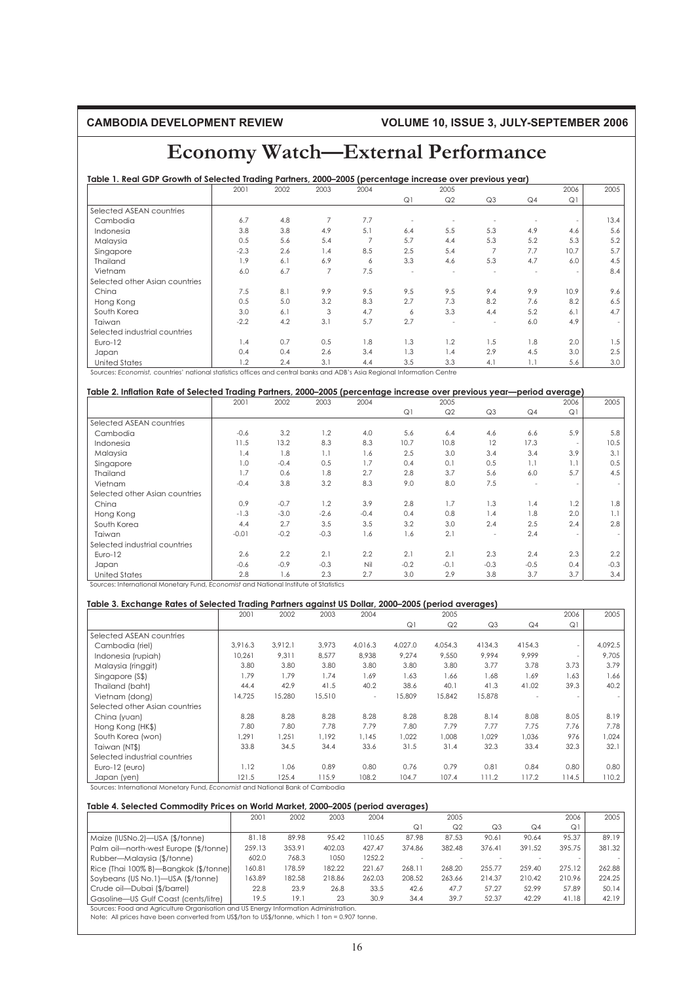# **Economy Watch—External Performance**

# **Table 1. Real GDP Growth of Selected Trading Partners, 2000–2005 (percentage increase over previous year)**

|                                | 2001   | 2002 | 2003           | 2004           |     | 2005           |                          |     | 2006                     | 2005   |
|--------------------------------|--------|------|----------------|----------------|-----|----------------|--------------------------|-----|--------------------------|--------|
|                                |        |      |                |                | Q1  | Q <sub>2</sub> | Q <sub>3</sub>           | Q4  | Q1                       |        |
| Selected ASEAN countries       |        |      |                |                |     |                |                          |     |                          |        |
| Cambodia                       | 6.7    | 4.8  | $\overline{7}$ | 7.7            | ٠   |                |                          |     |                          | 13.4   |
| Indonesia                      | 3.8    | 3.8  | 4.9            | 5.1            | 6.4 | 5.5            | 5.3                      | 4.9 | 4.6                      | 5.6    |
| Malaysia                       | 0.5    | 5.6  | 5.4            | $\overline{7}$ | 5.7 | 4.4            | 5.3                      | 5.2 | 5.3                      | 5.2    |
| Singapore                      | $-2.3$ | 2.6  | 1.4            | 8.5            | 2.5 | 5.4            | 7                        | 7.7 | 10.7                     | 5.7    |
| Thailand                       | 1.9    | 6.1  | 6.9            | 6              | 3.3 | 4.6            | 5.3                      | 4.7 | 6.0                      | 4.5    |
| Vietnam                        | 6.0    | 6.7  | $\overline{7}$ | 7.5            | -   | ۰              | $\sim$                   | ÷   | $\overline{\phantom{a}}$ | 8.4    |
| Selected other Asian countries |        |      |                |                |     |                |                          |     |                          |        |
| China                          | 7.5    | 8.1  | 9.9            | 9.5            | 9.5 | 9.5            | 9.4                      | 9.9 | 10.9                     | 9.6    |
| Hong Kong                      | 0.5    | 5.0  | 3.2            | 8.3            | 2.7 | 7.3            | 8.2                      | 7.6 | 8.2                      | 6.5    |
| South Korea                    | 3.0    | 6.1  | 3              | 4.7            | 6   | 3.3            | 4.4                      | 5.2 | 6.1                      | 4.7    |
| Taiwan                         | $-2.2$ | 4.2  | 3.1            | 5.7            | 2.7 | ٠              | $\overline{\phantom{a}}$ | 6.0 | 4.9                      | $\sim$ |
| Selected industrial countries  |        |      |                |                |     |                |                          |     |                          |        |
| Euro-12                        | 1.4    | 0.7  | 0.5            | 1.8            | 1.3 | 1.2            | 1.5                      | 1.8 | 2.0                      | 1.5    |
| Japan                          | 0.4    | 0.4  | 2.6            | 3.4            | 1.3 | 1.4            | 2.9                      | 4.5 | 3.0                      | 2.5    |
| <b>United States</b>           | 1.2    | 2.4  | 3.1            | 4.4            | 3.5 | 3.3            | 4.1                      | 1.1 | 5.6                      | 3.0    |

Sources: *Economist,* countries' national statistics offices and central banks and ADB's Asia Regional Information Centre

| Table 2. Inflation Rate of Selected Trading Partners, 2000-2005 (percentage increase over previous year-period average) |         |        |        |        |        |                |                          |                          |      |        |
|-------------------------------------------------------------------------------------------------------------------------|---------|--------|--------|--------|--------|----------------|--------------------------|--------------------------|------|--------|
|                                                                                                                         | 2001    | 2002   | 2003   | 2004   |        | 2005           |                          |                          | 2006 | 2005   |
|                                                                                                                         |         |        |        |        | Q1     | Q <sub>2</sub> | Q <sub>3</sub>           | Q4                       | Q1   |        |
| Selected ASEAN countries                                                                                                |         |        |        |        |        |                |                          |                          |      |        |
| Cambodia                                                                                                                | $-0.6$  | 3.2    | 1.2    | 4.0    | 5.6    | 6.4            | 4.6                      | 6.6                      | 5.9  | 5.8    |
| Indonesia                                                                                                               | 11.5    | 13.2   | 8.3    | 8.3    | 10.7   | 10.8           | 12                       | 17.3                     |      | 10.5   |
| Malaysia                                                                                                                | 1.4     | 1.8    | 1.1    | 1.6    | 2.5    | 3.0            | 3.4                      | 3.4                      | 3.9  | 3.1    |
| Singapore                                                                                                               | 1.0     | $-0.4$ | 0.5    | 1.7    | 0.4    | 0.1            | 0.5                      | 1.1                      | 1.1  | 0.5    |
| Thailand                                                                                                                | 1.7     | 0.6    | 1.8    | 2.7    | 2.8    | 3.7            | 5.6                      | 6.0                      | 5.7  | 4.5    |
| Vietnam                                                                                                                 | $-0.4$  | 3.8    | 3.2    | 8.3    | 9.0    | 8.0            | 7.5                      | $\overline{\phantom{a}}$ | ٠    |        |
| Selected other Asian countries                                                                                          |         |        |        |        |        |                |                          |                          |      |        |
| China                                                                                                                   | 0.9     | $-0.7$ | 1.2    | 3.9    | 2.8    | 1.7            | 1.3                      | 1.4                      | 1.2  | 1.8    |
| Hong Kong                                                                                                               | $-1.3$  | $-3.0$ | $-2.6$ | $-0.4$ | 0.4    | 0.8            | 1.4                      | 1.8                      | 2.0  | 1.1    |
| South Korea                                                                                                             | 4.4     | 2.7    | 3.5    | 3.5    | 3.2    | 3.0            | 2.4                      | 2.5                      | 2.4  | 2.8    |
| Taiwan                                                                                                                  | $-0.01$ | $-0.2$ | $-0.3$ | 1.6    | 1.6    | 2.1            | $\overline{\phantom{a}}$ | 2.4                      |      |        |
| Selected industrial countries                                                                                           |         |        |        |        |        |                |                          |                          |      |        |
| Euro-12                                                                                                                 | 2.6     | 2.2    | 2.1    | 2.2    | 2.1    | 2.1            | 2.3                      | 2.4                      | 2.3  | 2.2    |
| Japan                                                                                                                   | $-0.6$  | $-0.9$ | $-0.3$ | Nil    | $-0.2$ | $-0.1$         | $-0.3$                   | $-0.5$                   | 0.4  | $-0.3$ |
| <b>United States</b>                                                                                                    | 2.8     | 1.6    | 2.3    | 2.7    | 3.0    | 2.9            | 3.8                      | 3.7                      | 3.7  | 3.4    |

Sources: International Monetary Fund, *Economist* and National Institute of Statistics

### **Table 3. Exchange Rates of Selected Trading Partners against US Dollar, 2000–2005 (period averages)**

|                                | 2001    | 2002    | 2003   | 2004                     |         | 2005    |                |        | 2006                     | 2005    |
|--------------------------------|---------|---------|--------|--------------------------|---------|---------|----------------|--------|--------------------------|---------|
|                                |         |         |        |                          | Q1      | Q2      | Q <sub>3</sub> | Q4     | Q1                       |         |
| Selected ASEAN countries       |         |         |        |                          |         |         |                |        |                          |         |
| Cambodia (riel)                | 3.916.3 | 3.912.1 | 3.973  | 4.016.3                  | 4,027.0 | 4.054.3 | 4134.3         | 4154.3 | $\overline{\phantom{a}}$ | 4,092.5 |
| Indonesia (rupiah)             | 10,261  | 9,311   | 8,577  | 8,938                    | 9,274   | 9,550   | 9,994          | 9,999  | $\sim$                   | 9,705   |
| Malaysia (ringgit)             | 3.80    | 3.80    | 3.80   | 3.80                     | 3.80    | 3.80    | 3.77           | 3.78   | 3.73                     | 3.79    |
| Singapore (S\$)                | 1.79    | 1.79    | 1.74   | 1.69                     | 1.63    | 1.66    | 1.68           | 1.69   | 1.63                     | 1.66    |
| Thailand (baht)                | 44.4    | 42.9    | 41.5   | 40.2                     | 38.6    | 40.1    | 41.3           | 41.02  | 39.3                     | 40.2    |
| Vietnam (dong)                 | 14,725  | 15,280  | 15,510 | $\overline{\phantom{a}}$ | 15,809  | 15,842  | 15,878         |        | $\overline{\phantom{a}}$ | $\sim$  |
| Selected other Asian countries |         |         |        |                          |         |         |                |        |                          |         |
| China (yuan)                   | 8.28    | 8.28    | 8.28   | 8.28                     | 8.28    | 8.28    | 8.14           | 8.08   | 8.05                     | 8.19    |
| Hong Kong (HK\$)               | 7.80    | 7.80    | 7.78   | 7.79                     | 7.80    | 7.79    | 7.77           | 7.75   | 7.76                     | 7.78    |
| South Korea (won)              | 1.291   | 1,251   | 1.192  | 1.145                    | 1.022   | 1,008   | 1,029          | 1,036  | 976                      | 1,024   |
| Taiwan (NT\$)                  | 33.8    | 34.5    | 34.4   | 33.6                     | 31.5    | 31.4    | 32.3           | 33.4   | 32.3                     | 32.1    |
| Selected industrial countries  |         |         |        |                          |         |         |                |        |                          |         |
| Euro-12 (euro)                 | 1.12    | 1.06    | 0.89   | 0.80                     | 0.76    | 0.79    | 0.81           | 0.84   | 0.80                     | 0.80    |
| Japan (yen)                    | 121.5   | 125.4   | 115.9  | 108.2                    | 104.7   | 107.4   | 111.2          | 117.2  | 114.5                    | 110.2   |

Sources: International Monetary Fund, *Economist* and National Bank of Cambodia

### **Table 4. Selected Commodity Prices on World Market, 2000–2005 (period averages)**

|                                       | 2001   | 2002   | 2003   | 2004   |        | 2005           |                |                | 2006   | 2005   |
|---------------------------------------|--------|--------|--------|--------|--------|----------------|----------------|----------------|--------|--------|
|                                       |        |        |        |        | Q1     | Q <sub>2</sub> | Q <sub>3</sub> | Q <sub>4</sub> | Q1     |        |
| Maize (IUSNo.2)-USA (\$/tonne)        | 81.18  | 89.98  | 95.42  | 110.65 | 87.98  | 87.53          | 90.61          | 90.64          | 95.37  | 89.19  |
| Palm oil-north-west Europe (\$/tonne) | 259.13 | 353.91 | 402.03 | 427.47 | 374.86 | 382.48         | 376.41         | 391.52         | 395.75 | 381.32 |
| Rubber-Malaysia (\$/tonne)            | 602.0  | 768.3  | 1050   | 1252.2 |        |                |                |                |        |        |
| Rice (Thai 100% B)—Bangkok (\$/tonne) | 60.81  | 178.59 | 182.22 | 221.67 | 268.11 | 268.20         | 255.77         | 259.40         | 275.12 | 262.88 |
| Soybeans (US No.1)-USA (\$/tonne)     | 163.89 | 182.58 | 218.86 | 262.03 | 208.52 | 263.66         | 214.37         | 210.42         | 210.96 | 224.25 |
| Crude oil-Dubai (\$/barrel)           | 22.8   | 23.9   | 26.8   | 33.5   | 42.6   | 47.7           | 57.27          | 52.99          | 57.89  | 50.14  |
| Gasoline-US Gulf Coast (cents/litre)  | 19.5   | 19.1   | 23     | 30.9   | 34.4   | 39.7           | 52.37          | 42.29          | 41.18  | 42.19  |
|                                       |        |        |        |        |        |                |                |                |        |        |

Sources: Food and Agriculture Organisation and US Energy Information Administration. Note: All prices have been converted from US\$/ton to US\$/tonne, which 1 ton = 0.907 tonne.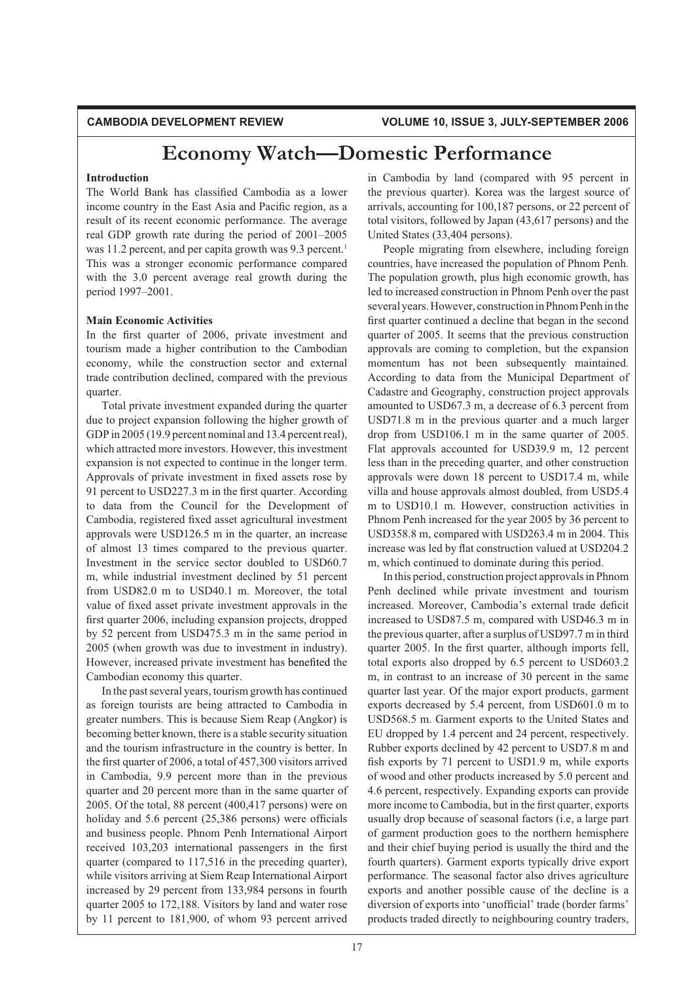### **Introduction**

The World Bank has classified Cambodia as a lower income country in the East Asia and Pacific region, as a result of its recent economic performance. The average real GDP growth rate during the period of 2001–2005 was 11.2 percent, and per capita growth was 9.3 percent.<sup>1</sup> This was a stronger economic performance compared with the 3.0 percent average real growth during the period 1997-2001.

### **Main Economic Activities**

In the first quarter of 2006, private investment and tourism made a higher contribution to the Cambodian economy, while the construction sector and external trade contribution declined, compared with the previous quarter.

Total private investment expanded during the quarter due to project expansion following the higher growth of GDP in 2005 (19.9 percent nominal and 13.4 percent real), which attracted more investors. However, this investment expansion is not expected to continue in the longer term. Approvals of private investment in fixed assets rose by 91 percent to USD227.3 m in the first quarter. According to data from the Council for the Development of Cambodia, registered fixed asset agricultural investment approvals were  $USD126.5$  m in the quarter, an increase of almost 13 times compared to the previous quarter. Investment in the service sector doubled to USD60.7 m, while industrial investment declined by 51 percent from USD82.0 m to USD40.1 m. Moreover, the total value of fixed asset private investment approvals in the first quarter 2006, including expansion projects, dropped by 52 percent from USD475.3 m in the same period in  $2005$  (when growth was due to investment in industry). However, increased private investment has benefited the Cambodian economy this quarter.

In the past several years, tourism growth has continued as foreign tourists are being attracted to Cambodia in greater numbers. This is because Siem Reap (Angkor) is becoming better known, there is a stable security situation and the tourism infrastructure in the country is better. In the first quarter of 2006, a total of  $457,300$  visitors arrived in Cambodia, 9.9 percent more than in the previous quarter and 20 percent more than in the same quarter of 2005. Of the total, 88 percent  $(400, 417)$  persons) were on holiday and 5.6 percent  $(25,386$  persons) were officials and business people. Phnom Penh International Airport received 103,203 international passengers in the first quarter (compared to  $117,516$  in the preceding quarter), while visitors arriving at Siem Reap International Airport increased by 29 percent from 133,984 persons in fourth quarter 2005 to 172,188. Visitors by land and water rose by 11 percent to  $181,900$ , of whom 93 percent arrived

in Cambodia by land (compared with 95 percent in the previous quarter). Korea was the largest source of arrivals, accounting for  $100,187$  persons, or 22 percent of total visitors, followed by Japan  $(43, 617$  persons) and the United States (33,404 persons).

People migrating from elsewhere, including foreign countries, have increased the population of Phnom Penh. The population growth, plus high economic growth, has led to increased construction in Phnom Penh over the past several years. However, construction in Phnom Penh in the first quarter continued a decline that began in the second quarter of 2005. It seems that the previous construction approvals are coming to completion, but the expansion momentum has not been subsequently maintained. According to data from the Municipal Department of Cadastre and Geography, construction project approvals amounted to USD67.3 m, a decrease of  $6.3$  percent from USD71.8 m in the previous quarter and a much larger drop from USD106.1 m in the same quarter of  $2005$ . Flat approvals accounted for USD39.9 m, 12 percent less than in the preceding quarter, and other construction approvals were down 18 percent to USD17.4 m, while villa and house approvals almost doubled, from USD5.4 m to USD10.1 m. However, construction activities in Phnom Penh increased for the year 2005 by 36 percent to USD358.8 m, compared with USD263.4 m in 2004. This increase was led by flat construction valued at USD204.2 m, which continued to dominate during this period.

In this period, construction project approvals in Phnom Penh declined while private investment and tourism increased. Moreover, Cambodia's external trade deficit increased to USD87.5 m, compared with USD46.3 m in the previous quarter, after a surplus of USD97.7 m in third quarter 2005. In the first quarter, although imports fell, total exports also dropped by  $6.5$  percent to USD $603.2$ m, in contrast to an increase of 30 percent in the same quarter last year. Of the major export products, garment exports decreased by 5.4 percent, from USD601.0 m to USD568.5 m. Garment exports to the United States and EU dropped by 1.4 percent and 24 percent, respectively. Rubber exports declined by 42 percent to USD7.8 m and fish exports by 71 percent to USD1.9 m, while exports of wood and other products increased by 5.0 percent and 4.6 percent, respectively. Expanding exports can provide more income to Cambodia, but in the first quarter, exports usually drop because of seasonal factors (i.e, a large part of garment production goes to the northern hemisphere and their chief buying period is usually the third and the fourth quarters). Garment exports typically drive export performance. The seasonal factor also drives agriculture exports and another possible cause of the decline is a diversion of exports into 'unofficial' trade (border farms' products traded directly to neighbouring country traders,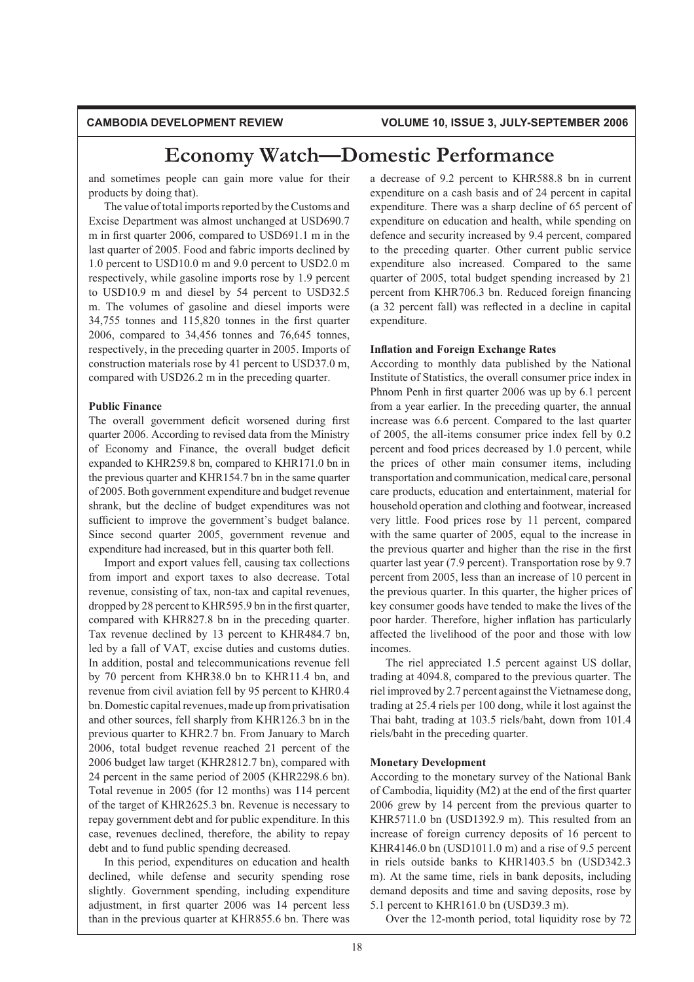and sometimes people can gain more value for their products by doing that).

The value of total imports reported by the Customs and Excise Department was almost unchanged at USD690.7 m in first quarter 2006, compared to USD691.1 m in the last quarter of 2005. Food and fabric imports declined by  $1.0$  percent to USD $10.0$  m and  $9.0$  percent to USD $2.0$  m respectively, while gasoline imports rose by 1.9 percent to USD10.9 m and diesel by 54 percent to USD32.5 m. The volumes of gasoline and diesel imports were  $34,755$  tonnes and  $115,820$  tonnes in the first quarter 2006, compared to  $34,456$  tonnes and  $76,645$  tonnes, respectively, in the preceding quarter in 2005. Imports of construction materials rose by 41 percent to USD37.0 m, compared with USD26.2 m in the preceding quarter.

### **Public Finance**

The overall government deficit worsened during first quarter 2006. According to revised data from the Ministry of Economy and Finance, the overall budget deficit expanded to KHR259.8 bn, compared to KHR171.0 bn in the previous quarter and KHR154.7 bn in the same quarter of 2005. Both government expenditure and budget revenue shrank, but the decline of budget expenditures was not sufficient to improve the government's budget balance. Since second quarter 2005, government revenue and expenditure had increased, but in this quarter both fell.

Import and export values fell, causing tax collections from import and export taxes to also decrease. Total revenue, consisting of tax, non-tax and capital revenues, dropped by 28 percent to KHR595.9 bn in the first quarter, compared with KHR827.8 bn in the preceding quarter. Tax revenue declined by 13 percent to KHR484.7 bn, led by a fall of VAT, excise duties and customs duties. In addition, postal and telecommunications revenue fell by 70 percent from KHR38.0 bn to KHR11.4 bn, and revenue from civil aviation fell by 95 percent to KHR0.4 bn. Domestic capital revenues, made up from privatisation and other sources, fell sharply from KHR126.3 bn in the previous quarter to KHR2.7 bn. From January to March 2006, total budget revenue reached 21 percent of the 2006 budget law target (KHR2812.7 bn), compared with 24 percent in the same period of 2005 (KHR2298.6 bn). Total revenue in 2005 (for 12 months) was 114 percent of the target of KHR2625.3 bn. Revenue is necessary to repay government debt and for public expenditure. In this case, revenues declined, therefore, the ability to repay debt and to fund public spending decreased.

In this period, expenditures on education and health declined, while defense and security spending rose slightly. Government spending, including expenditure adjustment, in first quarter 2006 was 14 percent less than in the previous quarter at KHR855.6 bn. There was a decrease of 9.2 percent to KHR588.8 bn in current expenditure on a cash basis and of 24 percent in capital expenditure. There was a sharp decline of 65 percent of expenditure on education and health, while spending on defence and security increased by 9.4 percent, compared to the preceding quarter. Other current public service expenditure also increased. Compared to the same quarter of 2005, total budget spending increased by 21 percent from KHR706.3 bn. Reduced foreign financing (a 32 percent fall) was reflected in a decline in capital expenditure.

### **Inflation and Foreign Exchange Rates**

According to monthly data published by the National Institute of Statistics, the overall consumer price index in Phnom Penh in first quarter 2006 was up by 6.1 percent from a year earlier. In the preceding quarter, the annual increase was 6.6 percent. Compared to the last quarter of 2005, the all-items consumer price index fell by  $0.2$ percent and food prices decreased by 1.0 percent, while the prices of other main consumer items, including transportation and communication, medical care, personal care products, education and entertainment, material for household operation and clothing and footwear, increased very little. Food prices rose by 11 percent, compared with the same quarter of 2005, equal to the increase in the previous quarter and higher than the rise in the first quarter last year (7.9 percent). Transportation rose by  $9.7$ percent from 2005, less than an increase of 10 percent in the previous quarter. In this quarter, the higher prices of key consumer goods have tended to make the lives of the poor harder. Therefore, higher inflation has particularly affected the livelihood of the poor and those with low incomes.

The riel appreciated 1.5 percent against US dollar, trading at 4094.8, compared to the previous quarter. The riel improved by 2.7 percent against the Vietnamese dong, trading at 25.4 riels per 100 dong, while it lost against the Thai baht, trading at 103.5 riels/baht, down from 101.4 riels/baht in the preceding quarter.

### **Monetary Development**

According to the monetary survey of the National Bank of Cambodia, liquidity (M2) at the end of the first quarter 2006 grew by 14 percent from the previous quarter to KHR5711.0 bn (USD1392.9 m). This resulted from an increase of foreign currency deposits of 16 percent to KHR4146.0 bn (USD1011.0 m) and a rise of  $9.5$  percent in riels outside banks to KHR1403.5 bn (USD342.3) m). At the same time, riels in bank deposits, including demand deposits and time and saving deposits, rose by 5.1 percent to  $KHR161.0$  bn (USD39.3 m).

Over the 12-month period, total liquidity rose by 72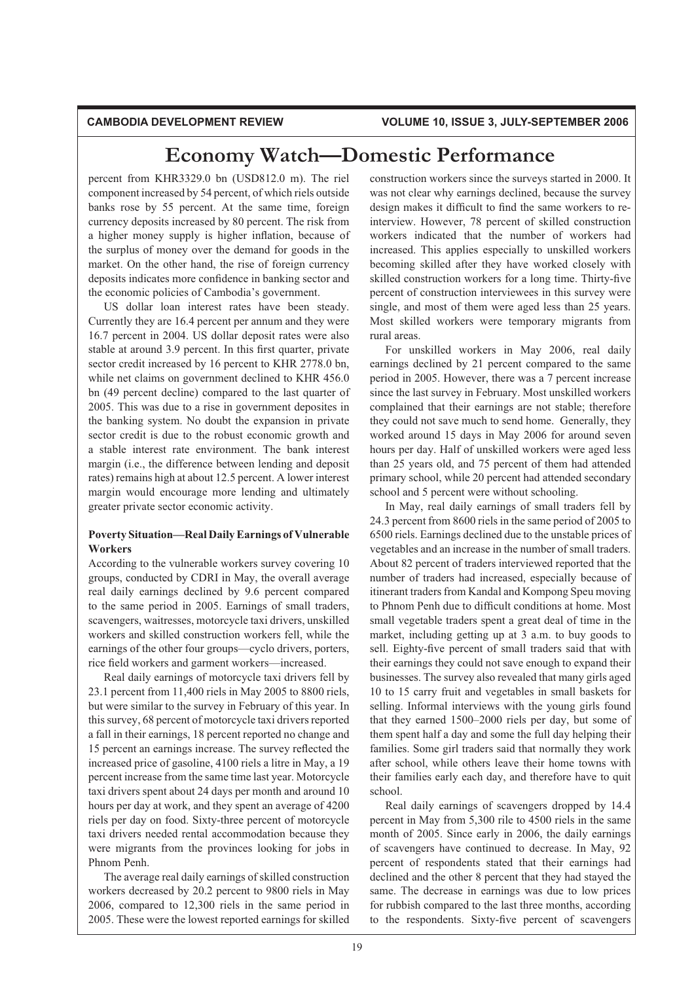percent from KHR3329.0 bn (USD812.0 m). The riel component increased by 54 percent, of which riels outside banks rose by 55 percent. At the same time, foreign currency deposits increased by 80 percent. The risk from a higher money supply is higher inflation, because of the surplus of money over the demand for goods in the market. On the other hand, the rise of foreign currency deposits indicates more confidence in banking sector and the economic policies of Cambodia's government.

US dollar loan interest rates have been steady. Currently they are 16.4 percent per annum and they were 16.7 percent in 2004. US dollar deposit rates were also stable at around 3.9 percent. In this first quarter, private sector credit increased by 16 percent to KHR 2778.0 bn, while net claims on government declined to KHR  $456.0$ bn (49 percent decline) compared to the last quarter of 2005. This was due to a rise in government deposites in the banking system. No doubt the expansion in private sector credit is due to the robust economic growth and a stable interest rate environment. The bank interest margin (i.e., the difference between lending and deposit rates) remains high at about 12.5 percent. A lower interest margin would encourage more lending and ultimately greater private sector economic activity.

## **Poverty Situation—Real Daily Earnings of Vulnerable Workers**

According to the vulnerable workers survey covering 10 groups, conducted by CDRI in May, the overall average real daily earnings declined by 9.6 percent compared to the same period in 2005. Earnings of small traders, scavengers, waitresses, motorcycle taxi drivers, unskilled workers and skilled construction workers fell, while the earnings of the other four groups—cyclo drivers, porters, rice field workers and garment workers-increased.

Real daily earnings of motorcycle taxi drivers fell by 23.1 percent from 11,400 riels in May 2005 to 8800 riels, but were similar to the survey in February of this year. In this survey, 68 percent of motorcycle taxi drivers reported a fall in their earnings, 18 percent reported no change and 15 percent an earnings increase. The survey reflected the increased price of gasoline, 4100 riels a litre in May, a 19 percent increase from the same time last year. Motorcycle taxi drivers spent about 24 days per month and around 10 hours per day at work, and they spent an average of 4200 riels per day on food. Sixty-three percent of motorcycle taxi drivers needed rental accommodation because they were migrants from the provinces looking for jobs in Phnom Penh.

The average real daily earnings of skilled construction workers decreased by 20.2 percent to 9800 riels in May  $2006$ , compared to  $12,300$  riels in the same period in 2005. These were the lowest reported earnings for skilled

construction workers since the surveys started in 2000. It was not clear why earnings declined, because the survey design makes it difficult to find the same workers to reinterview. However, 78 percent of skilled construction workers indicated that the number of workers had increased. This applies especially to unskilled workers becoming skilled after they have worked closely with skilled construction workers for a long time. Thirty-five percent of construction interviewees in this survey were single, and most of them were aged less than 25 years. Most skilled workers were temporary migrants from rural areas.

For unskilled workers in May 2006, real daily earnings declined by 21 percent compared to the same period in 2005. However, there was a 7 percent increase since the last survey in February. Most unskilled workers complained that their earnings are not stable; therefore they could not save much to send home. Generally, they worked around 15 days in May 2006 for around seven hours per day. Half of unskilled workers were aged less than 25 years old, and 75 percent of them had attended primary school, while 20 percent had attended secondary school and 5 percent were without schooling.

In May, real daily earnings of small traders fell by 24.3 percent from 8600 riels in the same period of 2005 to 6500 riels. Earnings declined due to the unstable prices of vegetables and an increase in the number of small traders. About 82 percent of traders interviewed reported that the number of traders had increased, especially because of itinerant traders from Kandal and Kompong Speu moving to Phnom Penh due to difficult conditions at home. Most small vegetable traders spent a great deal of time in the market, including getting up at 3 a.m. to buy goods to sell. Eighty-five percent of small traders said that with their earnings they could not save enough to expand their businesses. The survey also revealed that many girls aged 10 to 15 carry fruit and vegetables in small baskets for selling. Informal interviews with the young girls found that they earned  $1500-2000$  riels per day, but some of them spent half a day and some the full day helping their families. Some girl traders said that normally they work after school, while others leave their home towns with their families early each day, and therefore have to quit school.

Real daily earnings of scavengers dropped by 14.4 percent in May from  $5,300$  rile to  $4500$  riels in the same month of 2005. Since early in 2006, the daily earnings of scavengers have continued to decrease. In May, 92 percent of respondents stated that their earnings had declined and the other 8 percent that they had stayed the same. The decrease in earnings was due to low prices for rubbish compared to the last three months, according to the respondents. Sixty-five percent of scavengers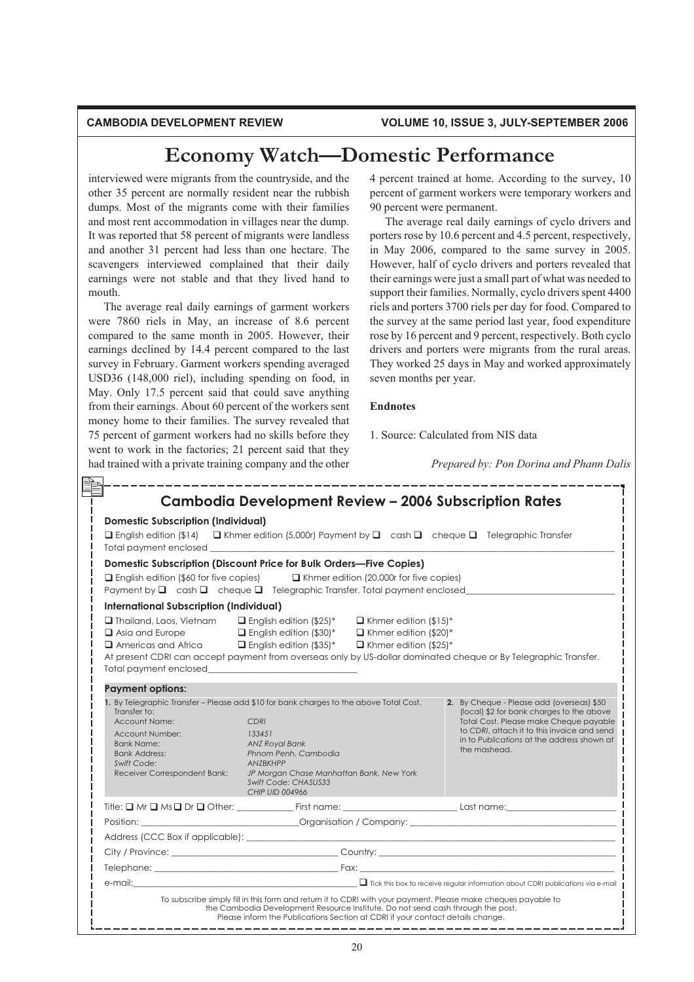interviewed were migrants from the countryside, and the other 35 percent are normally resident near the rubbish dumps. Most of the migrants come with their families and most rent accommodation in villages near the dump. It was reported that 58 percent of migrants were landless and another 31 percent had less than one hectare. The scavengers interviewed complained that their daily earnings were not stable and that they lived hand to mouth.

The average real daily earnings of garment workers were 7860 riels in May, an increase of 8.6 percent compared to the same month in 2005. However, their earnings declined by 14.4 percent compared to the last survey in February. Garment workers spending averaged USD36 (148,000 riel), including spending on food, in May. Only 17.5 percent said that could save anything from their earnings. About 60 percent of the workers sent money home to their families. The survey revealed that 75 percent of garment workers had no skills before they went to work in the factories; 21 percent said that they had trained with a private training company and the other 4 percent trained at home. According to the survey, 10 percent of garment workers were temporary workers and 90 percent were permanent.

The average real daily earnings of cyclo drivers and porters rose by 10.6 percent and 4.5 percent, respectively, in May 2006, compared to the same survey in  $2005$ . However, half of cyclo drivers and porters revealed that their earnings were just a small part of what was needed to support their families. Normally, cyclo drivers spent 4400 riels and porters 3700 riels per day for food. Compared to the survey at the same period last year, food expenditure rose by 16 percent and 9 percent, respectively. Both cyclo drivers and porters were migrants from the rural areas. They worked 25 days in May and worked approximately seven months per year.

## **Endnotes**

1. Source: Calculated from NIS data

*Prepared by: Pon Dorina and Phann Dalis*

| <b>Domestic Subscription (Individual)</b><br>Total payment enclosed                                                                          | $\Box$ English edition (\$14) $\Box$ Khmer edition (5,000r) Payment by $\Box$ cash $\Box$ cheque $\Box$ Telegraphic Transfer                                                                                                                                                                                                                                                                  |                                                                                                                                                                                                                                               |
|----------------------------------------------------------------------------------------------------------------------------------------------|-----------------------------------------------------------------------------------------------------------------------------------------------------------------------------------------------------------------------------------------------------------------------------------------------------------------------------------------------------------------------------------------------|-----------------------------------------------------------------------------------------------------------------------------------------------------------------------------------------------------------------------------------------------|
|                                                                                                                                              | Domestic Subscription (Discount Price for Bulk Orders-Five Copies)                                                                                                                                                                                                                                                                                                                            |                                                                                                                                                                                                                                               |
|                                                                                                                                              | $\Box$ English edition (\$60 for five copies) $\Box$ Khmer edition (20,000r for five copies)<br>Payment by $\Box$ cash $\Box$ cheque $\Box$ Telegraphic Transfer. Total payment enclosed                                                                                                                                                                                                      |                                                                                                                                                                                                                                               |
| <b>International Subscription (Individual)</b>                                                                                               |                                                                                                                                                                                                                                                                                                                                                                                               |                                                                                                                                                                                                                                               |
| Total payment enclosed<br>Total payment enclosed                                                                                             | $\Box$ Thailand, Laos, Vietnam $\Box$ English edition (\$25)* $\Box$ Khmer edition (\$15)*<br>$\Box$ Asia and Europe $\Box$ English edition (\$30)* $\Box$ Khmer edition (\$20)*<br>$\Box$ Americas and Africa $\Box$ English edition (\$35)* $\Box$ Khmer edition (\$25)*<br>At present CDRI can accept payment from overseas only by US-dollar dominated cheque or By Telegraphic Transfer. |                                                                                                                                                                                                                                               |
| <b>Payment options:</b>                                                                                                                      |                                                                                                                                                                                                                                                                                                                                                                                               |                                                                                                                                                                                                                                               |
| Transfer to:<br>Account Name:<br>Account Number:<br><b>Bank Name:</b><br><b>Bank Address:</b><br>Swift Code:<br>Receiver Correspondent Bank: | 1. By Telegraphic Transfer – Please add \$10 for bank charges to the above Total Cost.<br>CDRI<br>133451<br>ANZ Royal Bank<br>Phnom Penh, Cambodia<br>ANZBKHPP<br>JP Morgan Chase Manhattan Bank, New York<br>Swift Code: CHASUS33<br><b>CHIP UID 004966</b>                                                                                                                                  | 2. By Cheque - Please add (overseas) \$50<br>(local) \$2 for bank charges to the above<br>Total Cost. Please make Cheque payable<br>to CDRI, attach it to this invoice and send<br>in to Publications at the address shown at<br>the mashead. |
|                                                                                                                                              |                                                                                                                                                                                                                                                                                                                                                                                               |                                                                                                                                                                                                                                               |
|                                                                                                                                              |                                                                                                                                                                                                                                                                                                                                                                                               |                                                                                                                                                                                                                                               |
|                                                                                                                                              |                                                                                                                                                                                                                                                                                                                                                                                               |                                                                                                                                                                                                                                               |
|                                                                                                                                              |                                                                                                                                                                                                                                                                                                                                                                                               |                                                                                                                                                                                                                                               |
|                                                                                                                                              |                                                                                                                                                                                                                                                                                                                                                                                               |                                                                                                                                                                                                                                               |
|                                                                                                                                              | $\Box$ Tick this box to receive regular information about CDRI publications via e-mail                                                                                                                                                                                                                                                                                                        |                                                                                                                                                                                                                                               |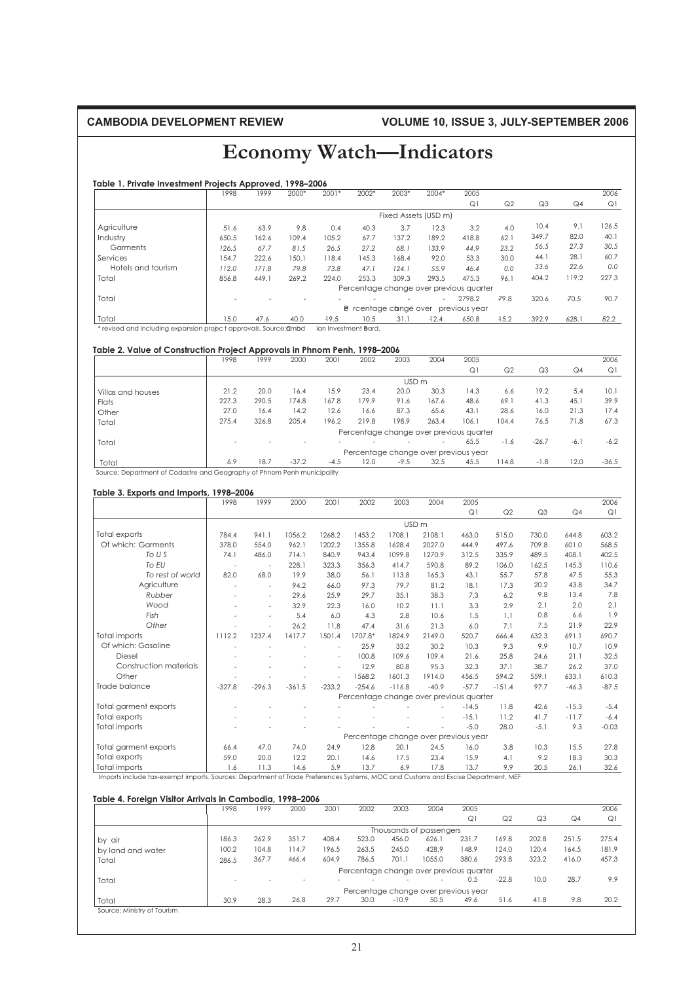# **CAMBODIA DEVELOPMENT REVIEW VOLUME 10, ISSUE 3, JULY-SEPTEMBER 2006**

# **Economy Watch—Indicators**

### **Table 1. Private Investment Projects Approved, 1998–2006**

|                                                                   | 1998  | 1999  | 2000* | 2001*   | 2002*                        | 2003*                | 2004*   | 2005                                    |                |                |       | 2006  |
|-------------------------------------------------------------------|-------|-------|-------|---------|------------------------------|----------------------|---------|-----------------------------------------|----------------|----------------|-------|-------|
|                                                                   |       |       |       |         |                              |                      |         | Q1                                      | Q <sub>2</sub> | Q <sub>3</sub> | Q4    | Q1    |
|                                                                   |       |       |       |         |                              | Fixed Assets (USD m) |         |                                         |                |                |       |       |
| Agriculture                                                       | 51.6  | 63.9  | 9.8   | 0.4     | 40.3                         | 3.7                  | 12.3    | 3.2                                     | 4.0            | 10.4           | 9.1   | 126.5 |
| Industry                                                          | 650.5 | 162.6 | 109.4 | 105.2   | 67.7                         | 137.2                | 189.2   | 418.8                                   | 62.1           | 349.7          | 82.0  | 40.1  |
| Garments                                                          | 126.5 | 67.7  | 81.5  | 26.5    | 27.2                         | 68.1                 | 133.9   | 44.9                                    | 23.2           | 56.5           | 27.3  | 30.5  |
| Services                                                          | 154.7 | 222.6 | 150.1 | 118.4   | 145.3                        | 168.4                | 92.0    | 53.3                                    | 30.0           | 44.1           | 28.1  | 60.7  |
| Hotels and tourism                                                | 112.0 | 171.8 | 79.8  | 73.8    | 47.1                         | 124.1                | 55.9    | 46.4                                    | 0.0            | 33.6           | 22.6  | 0.0   |
| Total                                                             | 856.8 | 449.1 | 269.2 | 224.0   | 253.3                        | 309.3                | 293.5   | 475.3                                   | 96.1           | 404.2          | 119.2 | 227.3 |
|                                                                   |       |       |       |         |                              |                      |         | Percentage change over previous quarter |                |                |       |       |
| Total                                                             |       |       |       |         |                              |                      | $\sim$  | 2798.2                                  | 79.8           | 320.6          | 70.5  | 90.7  |
|                                                                   |       |       |       |         | <b>B</b> rcentage cange over |                      |         | previous year                           |                |                |       |       |
| Total                                                             | 15.0  | 47.6  | 40.0  | $-19.5$ | 10.5                         | 31.1                 | $-12.4$ | 650.8                                   | 15.2           | 392.9          | 628.1 | 52.2  |
| * revised and including expansion project approvals. Source: @mbd |       |       |       |         | ian Investment Bard.         |                      |         |                                         |                |                |       |       |

#### **Table 2. Value of Construction Project Approvals in Phnom Penh, 1998–2006**

|                                                                                              | 1998  | 1999  | 2000    | 2001   | 2002                                    | 2003             | 2004                     | 2005  |                |                |        | 2006    |
|----------------------------------------------------------------------------------------------|-------|-------|---------|--------|-----------------------------------------|------------------|--------------------------|-------|----------------|----------------|--------|---------|
|                                                                                              |       |       |         |        |                                         |                  |                          | Q1    | Q <sub>2</sub> | Q <sub>3</sub> | Q4     | Q1      |
|                                                                                              |       |       |         |        |                                         | USD <sub>m</sub> |                          |       |                |                |        |         |
| Villas and houses                                                                            | 21.2  | 20.0  | 16.4    | 15.9   | 23.4                                    | 20.0             | 30.3                     | 14.3  | 6.6            | 19.2           | 5.4    | 10.1    |
| Flats                                                                                        | 227.3 | 290.5 | 174.8   | 167.8  | 179.9                                   | 91.6             | 167.6                    | 48.6  | 69.1           | 41.3           | 45.1   | 39.9    |
| Other                                                                                        | 27.0  | 16.4  | 14.2    | 12.6   | 16.6                                    | 87.3             | 65.6                     | 43.1  | 28.6           | 16.0           | 21.3   | 17.4    |
| Total                                                                                        | 275.4 | 326.8 | 205.4   | 196.2  | 219.8                                   | 198.9            | 263.4                    | 106.1 | 104.4          | 76.5           | 71.8   | 67.3    |
|                                                                                              |       |       |         |        | Percentage change over previous quarter |                  |                          |       |                |                |        |         |
| Total                                                                                        |       |       |         |        |                                         |                  | $\overline{\phantom{a}}$ | 65.5  | $-1.6$         | $-26.7$        | $-6.1$ | $-6.2$  |
|                                                                                              |       |       |         |        | Percentage change over previous year    |                  |                          |       |                |                |        |         |
| Total                                                                                        | 6.9   | 18.7  | $-37.2$ | $-4.5$ | 12.0                                    | $-9.5$           | 32.5                     | 45.5  | 114.8          | $-1.8$         | 12.0   | $-36.5$ |
| Converted to the collection of Constantine and Constantine of Black and Book accordate allah |       |       |         |        |                                         |                  |                          |       |                |                |        |         |

Source: Department of Cadastre and Geography of Phnom Penh municipality

### **Table 3. Exports and Imports, 1998–2006**

|                        | 1998     | 1999      | 2000     | 2001     | 2002     | 2003     | 2004                                    | 2005    |          |                |                | 2006    |
|------------------------|----------|-----------|----------|----------|----------|----------|-----------------------------------------|---------|----------|----------------|----------------|---------|
|                        |          |           |          |          |          |          |                                         | Q1      | Q2       | Q <sub>3</sub> | Q <sub>4</sub> | Q1      |
|                        |          |           |          |          |          |          | USD <sub>m</sub>                        |         |          |                |                |         |
| Total exports          | 784.4    | 941.1     | 1056.2   | 1268.2   | 1453.2   | 1708.1   | 2108.1                                  | 463.0   | 515.0    | 730.0          | 644.8          | 603.2   |
| Of which: Garments     | 378.0    | 554.0     | 962.1    | 1202.2   | 1355.8   | 1628.4   | 2027.0                                  | 444.9   | 497.6    | 709.8          | 601.0          | 568.5   |
| TO <sub>U</sub>        | 74.1     | 486.0     | 714.1    | 840.9    | 943.4    | 1099.8   | 1270.9                                  | 312.5   | 335.9    | 489.5          | 408.1          | 402.5   |
| To EU                  |          | ٠         | 228.1    | 323.3    | 356.3    | 414.7    | 590.8                                   | 89.2    | 106.0    | 162.5          | 145.3          | 110.6   |
| To rest of world       | 82.0     | 68.0      | 19.9     | 38.0     | 56.1     | 113.8    | 165.3                                   | 43.1    | 55.7     | 57.8           | 47.5           | 55.3    |
| Agriculture            |          | $\bar{a}$ | 94.2     | 66.0     | 97.3     | 79.7     | 81.2                                    | 18.1    | 17.3     | 20.2           | 43.8           | 34.7    |
| Rubber                 |          | ÷         | 29.6     | 25.9     | 29.7     | 35.1     | 38.3                                    | 7.3     | 6.2      | 9.8            | 13.4           | 7.8     |
| Wood                   |          | ٠         | 32.9     | 22.3     | 16.0     | 10.2     | 11.1                                    | 3.3     | 2.9      | 2.1            | 2.0            | 2.1     |
| Fish                   |          | ÷         | 5.4      | 6.0      | 4.3      | 2.8      | 10.6                                    | 1.5     | 1.1      | 0.8            | 6.6            | 1.9     |
| Other                  |          |           | 26.2     | 11.8     | 47.4     | 31.6     | 21.3                                    | 6.0     | 7.1      | 7.5            | 21.9           | 22.9    |
| <b>Total imports</b>   | 1112.2   | 1237.4    | 1417.7   | 1501.4   | 1707.8*  | 1824.9   | 2149.0                                  | 520.7   | 666.4    | 632.3          | 691.1          | 690.7   |
| Of which: Gasoline     |          |           |          |          | 25.9     | 33.2     | 30.2                                    | 10.3    | 9.3      | 9.9            | 10.7           | 10.9    |
| Diesel                 |          |           |          | ÷        | 100.8    | 109.6    | 109.4                                   | 21.6    | 25.8     | 24.6           | 21.1           | 32.5    |
| Construction materials |          |           |          | ٠        | 12.9     | 80.8     | 95.3                                    | 32.3    | 37.1     | 38.7           | 26.2           | 37.0    |
| Other                  |          |           |          | ٠        | 1568.2   | 1601.3   | 1914.0                                  | 456.5   | 594.2    | 559.1          | 633.1          | 610.3   |
| Trade balance          | $-327.8$ | $-296.3$  | $-361.5$ | $-233.2$ | $-254.6$ | $-116.8$ | $-40.9$                                 | $-57.7$ | $-151.4$ | 97.7           | $-46.3$        | $-87.5$ |
|                        |          |           |          |          |          |          | Percentage change over previous quarter |         |          |                |                |         |
| Total garment exports  |          |           |          |          |          |          |                                         | $-14.5$ | 11.8     | 42.6           | $-15.3$        | $-5.4$  |
| Total exports          |          |           |          |          |          |          |                                         | $-15.1$ | 11.2     | 41.7           | $-11.7$        | $-6.4$  |
| <b>Total imports</b>   |          |           |          |          |          |          |                                         | $-5.0$  | 28.0     | $-5.1$         | 9.3            | $-0.03$ |
|                        |          |           |          |          |          |          | Percentage change over previous year    |         |          |                |                |         |
| Total garment exports  | 66.4     | 47.0      | 74.0     | 24.9     | 12.8     | 20.1     | 24.5                                    | 16.0    | 3.8      | 10.3           | 15.5           | 27.8    |
| Total exports          | 59.0     | 20.0      | 12.2     | 20.1     | 14.6     | 17.5     | 23.4                                    | 15.9    | 4.1      | 9.2            | 18.3           | 30.3    |
| Total imports          | 1.6      | 11.3      | 14.6     | 5.9      | 13.7     | 6.9      | 17.8                                    | 13.7    | 9.9      | 20.5           | 26.1           | 32.6    |

#### **Table 4. Foreign Visitor Arrivals in Cambodia, 1998–2006**

|                             | 1998  | 1999  | 2000  | 2001  | 2002  | 2003    | 2004                                    | 2005  |                |                |       | 2006  |
|-----------------------------|-------|-------|-------|-------|-------|---------|-----------------------------------------|-------|----------------|----------------|-------|-------|
|                             |       |       |       |       |       |         |                                         | Q1    | Q <sub>2</sub> | Q <sub>3</sub> | Q4    | Q1    |
|                             |       |       |       |       |       |         | Thousands of passengers                 |       |                |                |       |       |
| by air                      | 186.3 | 262.9 | 351.7 | 408.4 | 523.0 | 456.0   | 626.1                                   | 231.7 | 169.8          | 202.8          | 251.5 | 275.4 |
| by land and water           | 100.2 | 104.8 | 114.7 | 196.5 | 263.5 | 245.0   | 428.9                                   | 148.9 | 124.0          | 120.4          | 164.5 | 181.9 |
| Total                       | 286.5 | 367.7 | 466.4 | 604.9 | 786.5 | 701.1   | 1055.0                                  | 380.6 | 293.8          | 323.2          | 416.0 | 457.3 |
|                             |       |       |       |       |       |         | Percentage change over previous quarter |       |                |                |       |       |
| Total                       |       |       |       |       |       |         |                                         | 0.5   | $-22.8$        | 10.0           | 28.7  | 9.9   |
|                             |       |       |       |       |       |         | Percentage change over previous year    |       |                |                |       |       |
| Total                       | 30.9  | 28.3  | 26.8  | 29.7  | 30.0  | $-10.9$ | 50.5                                    | 49.6  | 51.6           | 41.8           | 9.8   | 20.2  |
| Source: Ministry of Tourism |       |       |       |       |       |         |                                         |       |                |                |       |       |